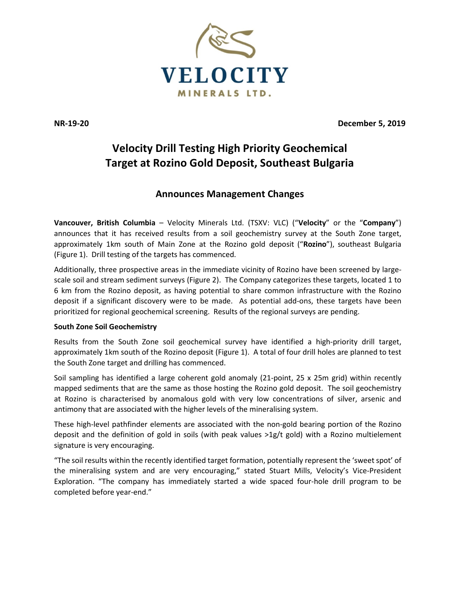

**NR-19-20 December 5, 2019**

# **Velocity Drill Testing High Priority Geochemical Target at Rozino Gold Deposit, Southeast Bulgaria**

## **Announces Management Changes**

**Vancouver, British Columbia** – Velocity Minerals Ltd. (TSXV: VLC) ("**Velocity**" or the "**Company**") announces that it has received results from a soil geochemistry survey at the South Zone target, approximately 1km south of Main Zone at the Rozino gold deposit ("**Rozino**"), southeast Bulgaria (Figure 1). Drill testing of the targets has commenced.

Additionally, three prospective areas in the immediate vicinity of Rozino have been screened by largescale soil and stream sediment surveys (Figure 2). The Company categorizes these targets, located 1 to 6 km from the Rozino deposit, as having potential to share common infrastructure with the Rozino deposit if a significant discovery were to be made. As potential add-ons, these targets have been prioritized for regional geochemical screening. Results of the regional surveys are pending.

## **South Zone Soil Geochemistry**

Results from the South Zone soil geochemical survey have identified a high-priority drill target, approximately 1km south of the Rozino deposit (Figure 1). A total of four drill holes are planned to test the South Zone target and drilling has commenced.

Soil sampling has identified a large coherent gold anomaly (21-point, 25 x 25m grid) within recently mapped sediments that are the same as those hosting the Rozino gold deposit. The soil geochemistry at Rozino is characterised by anomalous gold with very low concentrations of silver, arsenic and antimony that are associated with the higher levels of the mineralising system.

These high-level pathfinder elements are associated with the non-gold bearing portion of the Rozino deposit and the definition of gold in soils (with peak values >1g/t gold) with a Rozino multielement signature is very encouraging.

"The soil results within the recently identified target formation, potentially represent the 'sweet spot' of the mineralising system and are very encouraging," stated Stuart Mills, Velocity's Vice-President Exploration. "The company has immediately started a wide spaced four-hole drill program to be completed before year-end."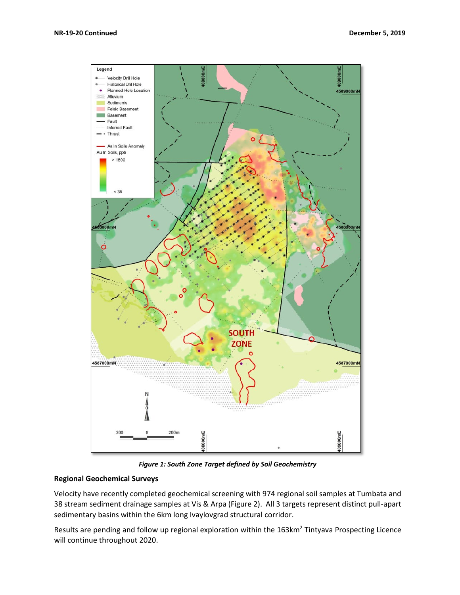

*Figure 1: South Zone Target defined by Soil Geochemistry*

### **Regional Geochemical Surveys**

Velocity have recently completed geochemical screening with 974 regional soil samples at Tumbata and 38 stream sediment drainage samples at Vis & Arpa (Figure 2). All 3 targets represent distinct pull-apart sedimentary basins within the 6km long Ivaylovgrad structural corridor.

Results are pending and follow up regional exploration within the 163km<sup>2</sup> Tintyava Prospecting Licence will continue throughout 2020.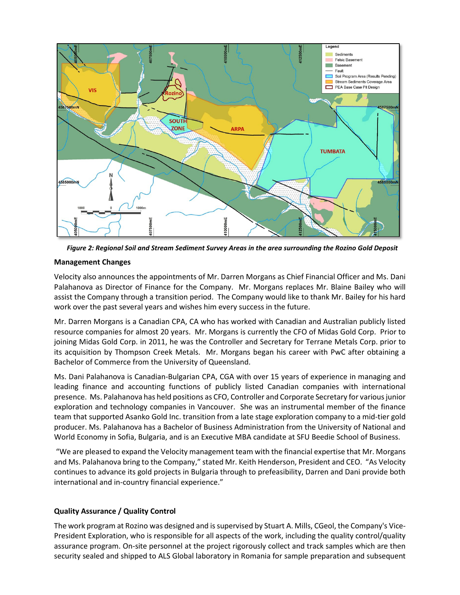

*Figure 2: Regional Soil and Stream Sediment Survey Areas in the area surrounding the Rozino Gold Deposit*

## **Management Changes**

Velocity also announces the appointments of Mr. Darren Morgans as Chief Financial Officer and Ms. Dani Palahanova as Director of Finance for the Company. Mr. Morgans replaces Mr. Blaine Bailey who will assist the Company through a transition period. The Company would like to thank Mr. Bailey for his hard work over the past several years and wishes him every success in the future.

Mr. Darren Morgans is a Canadian CPA, CA who has worked with Canadian and Australian publicly listed resource companies for almost 20 years. Mr. Morgans is currently the CFO of Midas Gold Corp. Prior to joining Midas Gold Corp. in 2011, he was the Controller and Secretary for Terrane Metals Corp. prior to its acquisition by Thompson Creek Metals. Mr. Morgans began his career with PwC after obtaining a Bachelor of Commerce from the University of Queensland.

Ms. Dani Palahanova is Canadian-Bulgarian CPA, CGA with over 15 years of experience in managing and leading finance and accounting functions of publicly listed Canadian companies with international presence. Ms. Palahanova has held positions as CFO, Controller and Corporate Secretary for various junior exploration and technology companies in Vancouver. She was an instrumental member of the finance team that supported Asanko Gold Inc. transition from a late stage exploration company to a mid-tier gold producer. Ms. Palahanova has a Bachelor of Business Administration from the University of National and World Economy in Sofia, Bulgaria, and is an Executive MBA candidate at SFU Beedie School of Business.

"We are pleased to expand the Velocity management team with the financial expertise that Mr. Morgans and Ms. Palahanova bring to the Company," stated Mr. Keith Henderson, President and CEO. "As Velocity continues to advance its gold projects in Bulgaria through to prefeasibility, Darren and Dani provide both international and in-country financial experience."

## **Quality Assurance / Quality Control**

The work program at Rozino was designed and issupervised by Stuart A. Mills, CGeol, the Company's Vice-President Exploration, who is responsible for all aspects of the work, including the quality control/quality assurance program. On-site personnel at the project rigorously collect and track samples which are then security sealed and shipped to ALS Global laboratory in Romania for sample preparation and subsequent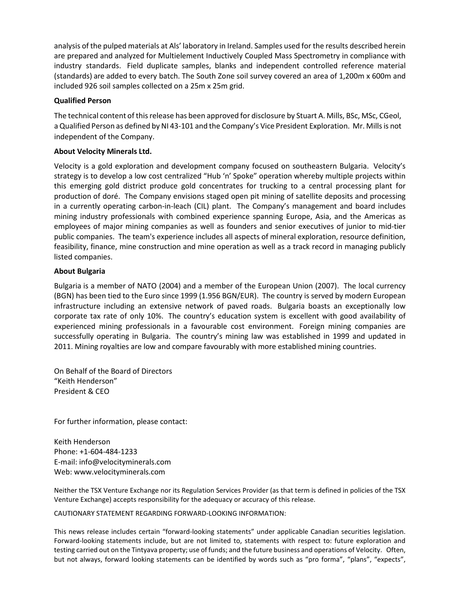analysis of the pulped materials at Als' laboratory in Ireland. Samples used for the results described herein are prepared and analyzed for Multielement Inductively Coupled Mass Spectrometry in compliance with industry standards. Field duplicate samples, blanks and independent controlled reference material (standards) are added to every batch. The South Zone soil survey covered an area of 1,200m x 600m and included 926 soil samples collected on a 25m x 25m grid.

### **Qualified Person**

The technical content of this release has been approved for disclosure by Stuart A. Mills, BSc, MSc, CGeol, a Qualified Person as defined by NI 43-101 and the Company's Vice President Exploration. Mr. Mills is not independent of the Company.

## **About Velocity Minerals Ltd.**

Velocity is a gold exploration and development company focused on southeastern Bulgaria. Velocity's strategy is to develop a low cost centralized "Hub 'n' Spoke" operation whereby multiple projects within this emerging gold district produce gold concentrates for trucking to a central processing plant for production of doré. The Company envisions staged open pit mining of satellite deposits and processing in a currently operating carbon-in-leach (CIL) plant. The Company's management and board includes mining industry professionals with combined experience spanning Europe, Asia, and the Americas as employees of major mining companies as well as founders and senior executives of junior to mid-tier public companies. The team's experience includes all aspects of mineral exploration, resource definition, feasibility, finance, mine construction and mine operation as well as a track record in managing publicly listed companies.

### **About Bulgaria**

Bulgaria is a member of NATO (2004) and a member of the European Union (2007). The local currency (BGN) has been tied to the Euro since 1999 (1.956 BGN/EUR). The country is served by modern European infrastructure including an extensive network of paved roads. Bulgaria boasts an exceptionally low corporate tax rate of only 10%. The country's education system is excellent with good availability of experienced mining professionals in a favourable cost environment. Foreign mining companies are successfully operating in Bulgaria. The country's mining law was established in 1999 and updated in 2011. Mining royalties are low and compare favourably with more established mining countries.

On Behalf of the Board of Directors "Keith Henderson" President & CEO

For further information, please contact:

Keith Henderson Phone: +1-604-484-1233 E-mail: [info@velocityminerals.com](mailto:info@velocityminerals.com) Web: [www.velocityminerals.com](http://www.velocityminerals.com/)

Neither the TSX Venture Exchange nor its Regulation Services Provider (as that term is defined in policies of the TSX Venture Exchange) accepts responsibility for the adequacy or accuracy of this release.

#### CAUTIONARY STATEMENT REGARDING FORWARD-LOOKING INFORMATION:

This news release includes certain "forward-looking statements" under applicable Canadian securities legislation. Forward-looking statements include, but are not limited to, statements with respect to: future exploration and testing carried out on the Tintyava property; use of funds; and the future business and operations of Velocity. Often, but not always, forward looking statements can be identified by words such as "pro forma", "plans", "expects",